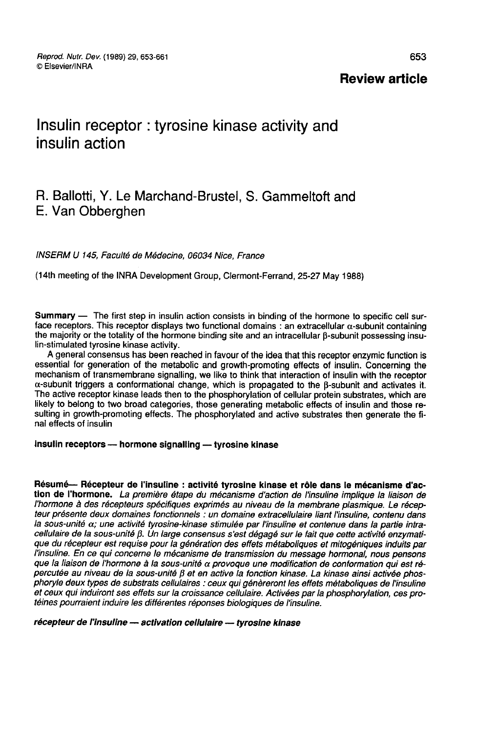# Review article

# Insulin receptor : tyrosine kinase activity and insulin action

# R. Ballotti, Y. Le Marchand-Brustel, S. Gammeltoft E. Van Obberghen

INSERM U 145, Faculté de Médecine, 06034 Nice, France

(l4th meeting of the INRA Development Group, Clermont-Ferrand, 25-27 May 1988)

Summary — The first step in insulin action consists in binding of the hormone to specific cell sur-<br>face receptors. This receptor displays two functional domains : an extracellular  $\alpha$ -subunit containing the majority or the totality of the hormone binding site and an intracellular B-subunit possessing insulin-stimulated tyrosine kinase activity.

A general consensus has been reached in favour of the idea that this receptor enzymic function is essential for generation of the metabolic and growth-promoting effects of insulin. Concerning the mechanism of transmembrane signalling, we like to think that interaction of insulin with the receptor  $\alpha$ -subunit triggers a conformational change, which is propagated to the  $\beta$ -subunit and activates it. The active receptor kinase leads then to the phosphorylation of cellular protein substrates, which are likely to belong to two broad categories, those generating metabolic effects of insulin and those resulting in growth-promoting effects. The phosphorylated and active substrates then generate the final effects of insulin

#### insulin receptors - hormone signalling - tyrosine kinase

Résumé― Récepteur de l'insuline : activité tyrosine kinase et rôle dans le mécanisme d'action de l'hormone. La première étape du mécanisme d'action de l'insuline implique la liaison de<br>l'hormone à des récepteurs spécifiques exprimés au niveau de la membrane plasmique. Le récepteur présente deux domaines fonctionnels : un domaine extracellulaire liant l'insuline, contenu dans la sous-unité a; une activité tyrosine-kinase stimulée par l'insuline et contenue dans la partie intracellulaire de la sous-unité ß. Un large consensus s'est dégagé sur le fait que cette activité enzymatique du récepteur est requise pour la génération des effets métaboliques et mitogéniques induits par<br>l'insuline. En ce qui concerne le mécanisme de transmission du message hormonal, nous pensons que la liaison de l'hormone à la sous-unité α provoque une modification de conformation qui est ré-<br>percutée au niveau de la sous-unité β et en active la fonction kinase. La kinase ainsi activée phosphoryle deux types de substrats cellulaires : ceux qui génèreront les effets métaboliques de l'insuline et ceux qui induiront ses effets sur la croissance cellulaire. Activées par la phosphorylation, ces pro-<br>téines pourraient induire les différentes réponses biologiques de l'insuline.

récepteur de l'insuline - activation cellulaire - tyrosine kinase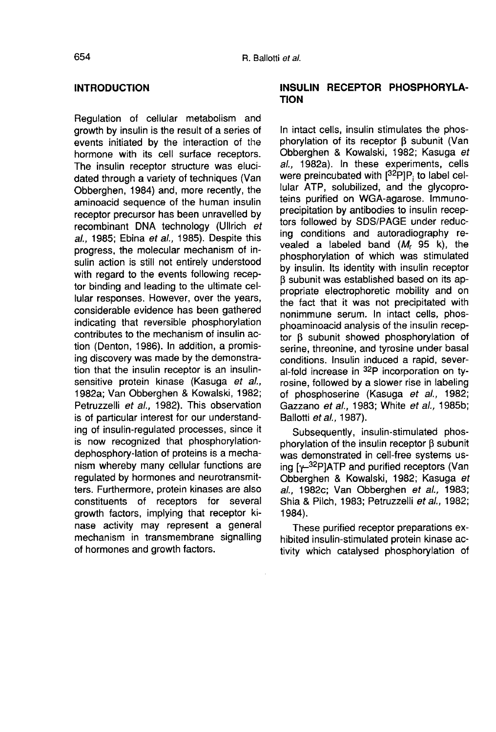#### INTRODUCTION

Regulation of cellular metabolism and growth by insulin is the result of a series of events initiated by the interaction of the hormone with its cell surface receptors. The insulin receptor structure was elucidated through a variety of techniques (Van Obberghen, 1984) and, more recently, the aminoacid sequence of the human insulin receptor precursor has been unravelled by recombinant DNA technology (Ullrich et al., 1985; Ebina et al., 1985). Despite this progress, the molecular mechanism of insulin action is still not entirely understood with regard to the events following receptor binding and leading to the ultimate cellular responses. However, over the years, considerable evidence has been gathered indicating that reversible phosphorylation contributes to the mechanism of insulin action (Denton, 1986). In addition, a promising discovery was made by the demonstration that the insulin receptor is an insulinsensitive protein kinase (Kasuga et al., 1982a; Van Obberghen & Kowalski, 1982; Petruzzelli et al., 1982). This observation is of particular interest for our understanding of insulin-regulated processes, since it is now recognized that phosphorylationdephosphory-lation of proteins is a mechanism whereby many cellular functions are regulated by hormones and neurotransmitters. Furthermore, protein kinases are also constituents of receptors for several growth factors, implying that receptor kinase activity may represent a general mechanism in transmembrane signalling of hormones and growth factors.

#### INSULIN RECEPTOR PHOSPHORYLA-TION

In intact cells, insulin stimulates the phosphorylation of its receptor  $\beta$  subunit (Van Obberghen & Kowalski, 1982; Kasuga et al., 1982a). In these experiments, cells Obberghen & Kowalski, 1982; Kasuga et *al.*, 1982a). In these experiments, cells<br>were preincubated with  $[^{32}P]P_1$  to label cel-<br>lular ATP, solubilized, and the glycoprolular ATP, solubilized, and the glycoproteins purified on WGA-agarose. Immunoprecipitation by antibodies to insulin receptors followed by SDS/PAGE under reducing conditions and autoradiography revealed a labeled band  $(M<sub>r</sub>$  95 k), the phosphorylation of which was stimulated by insulin. Its identity with insulin receptor [3 subunit was established based on its appropriate electrophoretic mobility and on the fact that it was not precipitated with nonimmune serum. In intact cells, phosphoaminoacid analysis of the insulin receptor  $\beta$  subunit showed phosphorylation of serine, threonine, and tyrosine under basal conditions. Insulin induced a rapid, several-fold increase in 32P incorporation on tyrosine, followed by a slower rise in labeling of phosphoserine (Kasuga et al., 1982; Gazzano et al., 1983; White et al., 1985b; Ballotti et al., 1987).

Subsequently, insulin-stimulated phosphorylation of the insulin receptor  $\beta$  subunit was demonstrated in cell-free systems usphorylation of the insulin receptor β subunit<br>was demonstrated in cell-free systems us-<br>ing [γ–<sup>32</sup>P]ATP and purified receptors (Van<br>Obberghen & Kowalski, 1982; Kasuga *e*i Obberghen & Kowalski, 1982; Kasuga et al., 1982c; Van Obberghen et al., 1983; Shia & Pilch, 1983; Petruzzelli et al., 1982; 1984).

These purified receptor preparations exhibited insulin-stimulated protein kinase activity which catalysed phosphorylation of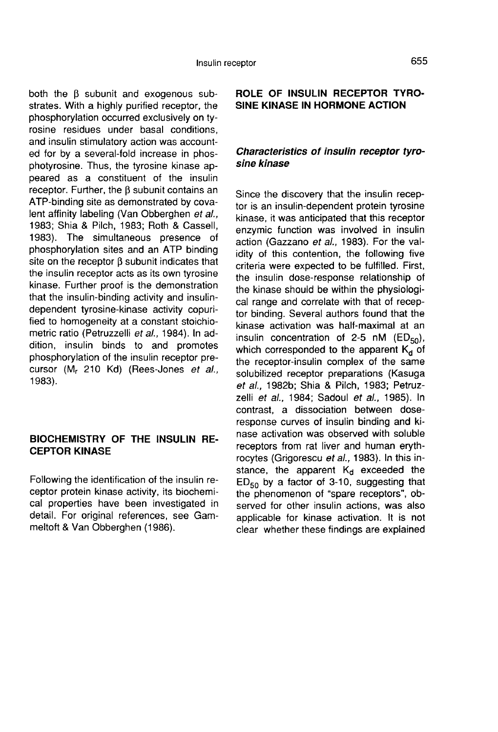both the  $\beta$  subunit and exogenous substrates. With a highly purified receptor, the phosphorylation occurred exclusively on tyrosine residues under basal conditions, and insulin stimulatory action was accounted for by a several-fold increase in phosphotyrosine. Thus, the tyrosine kinase appeared as a constituent of the insulin receptor. Further, the  $\beta$  subunit contains an ATP-binding site as demonstrated by covalent affinity labeling (Van Obberghen et al., 1983; Shia & Pilch, 1983; Roth & Cassell, 1983). The simultaneous presence of phosphorylation sites and an ATP binding site on the receptor  $\beta$  subunit indicates that the insulin receptor acts as its own tyrosine kinase. Further proof is the demonstration that the insulin-binding activity and insulindependent tyrosine-kinase activity copurified to homogeneity at a constant stoichiometric ratio (Petruzzelli et al., 1984). In addition, insulin binds to and promotes phosphorylation of the insulin receptor precursor (Mr 210 Kd) (Rees-Jones et al., 1983).

#### BIOCHEMISTRY OF THE INSULIN RE-CEPTOR KINASE

Following the identification of the insulin receptor protein kinase activity, its biochemical properties have been investigated in detail. For original references, see Gammeltoft & Van Obberghen (1986).

#### ROLE OF INSULIN RECEPTOR TYRO-SINE KINASE IN HORMONE ACTION

#### Characteristics of insulin receptor tyrosine kinase

Since the discovery that the insulin receptor is an insulin-dependent protein tyrosine kinase, it was anticipated that this receptor enzymic function was involved in insulin action (Gazzano et al., 1983). For the validity of this contention, the following five criteria were expected to be fulfilled. First, the insulin dose-response relationship of the kinase should be within the physiological range and correlate with that of receptor binding. Several authors found that the kinase activation was half-maximal at an insulin concentration of 2-5 nM ( $ED_{50}$ ), which corresponded to the apparent  $K_d$  of the receptor-insulin complex of the same solubilized receptor preparations (Kasuga et al., 1982b; Shia & Pilch, 1983; Petruzzelli et al., 1984; Sadoul et al., 1985). In contrast, a dissociation between doseresponse curves of insulin binding and kinase activation was observed with soluble receptors from rat liver and human erythrocytes (Grigorescu et al., 1983). In this instance, the apparent  $K_d$  exceeded the  $ED_{50}$  by a factor of 3-10, suggesting that the phenomenon of "spare receptors", observed for other insulin actions, was also applicable for kinase activation. It is not clear whether these findings are explained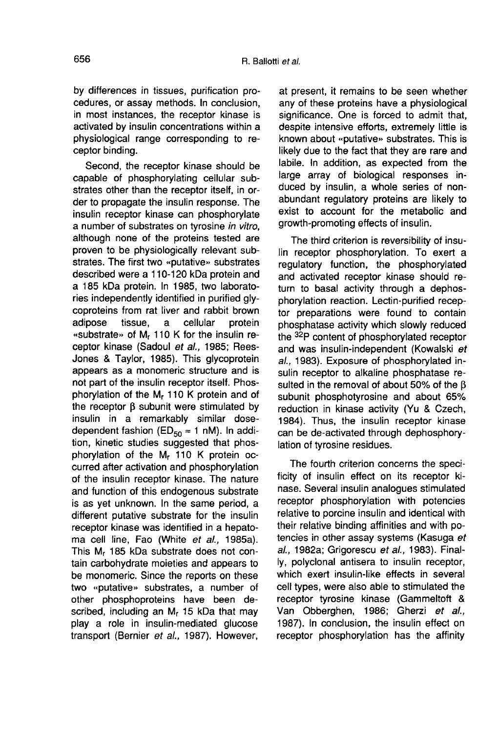by differences in tissues, purification procedures, or assay methods. In conclusion, in most instances, the receptor kinase is activated by insulin concentrations within a physiological range corresponding to receptor binding.

Second, the receptor kinase should be capable of phosphorylating cellular substrates other than the receptor itself, in order to propagate the insulin response. The insulin receptor kinase can phosphorylate a number of substrates on tyrosine in vitro, although none of the proteins tested are proven to be physiologically relevant substrates. The first two «putative» substrates described were a 110-120 kDa protein and a 185 kDa protein. In 1985, two laboratories independently identified in purified glycoproteins from rat liver and rabbit brown<br>adipose tissue, a cellular protein a cellular protein «substrate» of Mr 110 K for the insulin receptor kinase (Sadoul et al., 1985; Rees-Jones & Taylor, 1985). This glycoprotein appears as a monomeric structure and is not part of the insulin receptor itself. Phosphorylation of the M<sub>r</sub> 110 K protein and of the receptor  $\beta$  subunit were stimulated by insulin in a remarkably similar dosedependent fashion ( $ED_{50} \approx 1$  nM). In addition, kinetic studies suggested that phosphorylation of the M<sub>r</sub> 110 K protein occurred after activation and phosphorylation of the insulin receptor kinase. The nature and function of this endogenous substrate is as yet unknown. In the same period, a different putative substrate for the insulin receptor kinase was identified in a hepatoma cell line, Fao (White et al., 1985a). This Mr 185 kDa substrate does not contain carbohydrate moieties and appears to be monomeric. Since the reports on these two «putative» substrates, a number of other phosphoproteins have been described, including an  $M<sub>r</sub>$  15 kDa that may play a role in insulin-mediated glucose transport (Bernier et al., 1987). However,

at present, it remains to be seen whether any of these proteins have a physiological significance. One is forced to admit that, despite intensive efforts, extremely little is known about «putative» substrates. This is likely due to the fact that they are rare and labile. In addition, as expected from the large array of biological responses induced by insulin, a whole series of nonabundant regulatory proteins are likely to exist to account for the metabolic and growth-promoting effects of insulin.

The third criterion is reversibility of insulin receptor phosphorylation. To exert a regulatory function, the phosphorylated and activated receptor kinase should return to basal activity through a dephosphorylation reaction. Lectin-purified receptor preparations were found to contain phosphatase activity which slowly reduced the <sup>32</sup>P content of phosphorylated receptor and was insulin-independent (Kowalski et al., 1983). Exposure of phosphorylated insulin receptor to alkaline phosphatase resulted in the removal of about  $50\%$  of the  $\beta$ subunit phosphotyrosine and about 65% reduction in kinase activity (Yu & Czech, 1984). Thus, the insulin receptor kinase can be de-activated through dephosphorylation of tyrosine residues.

The fourth criterion concerns the specificity of insulin effect on its receptor kinase. Several insulin analogues stimulated receptor phosphorylation with potencies relative to porcine insulin and identical with their relative binding affinities and with potencies in other assay systems (Kasuga et al., 1982a; Grigorescu et al., 1983). Finally, polyclonal antisera to insulin receptor, which exert insulin-like effects in several cell types, were also able to stimulated the receptor tyrosine kinase (Gammeltoft & Van Obberghen, 1986; Gherzi et al., 1987). In conclusion, the insulin effect on receptor phosphorylation has the affinity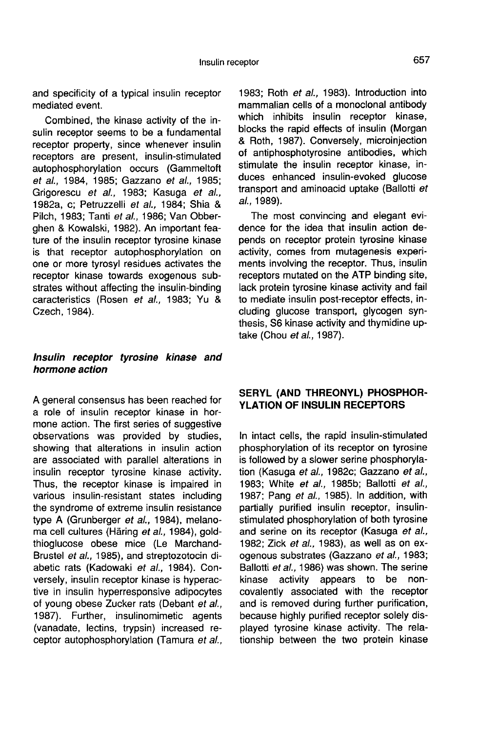and specificity of a typical insulin receptor mediated event.

Combined, the kinase activity of the insulin receptor seems to be a fundamental receptor property, since whenever insulin receptors are present, insulin-stimulated autophosphorylation occurs (Gammeltoft et al., 1984, 1985; Gazzano et al., 1985; Grigorescu et al., 1983; Kasuga et al., 1982a, c; Petruzzelli et al., 1984; Shia & Pilch, 1983; Tanti et al., 1986; Van Obberghen & Kowalski, 1982). An important feature of the insulin receptor tyrosine kinase is that receptor autophosphorylation on one or more tyrosyl residues activates the receptor kinase towards exogenous substrates without affecting the insulin-binding caracteristics (Rosen et al., 1983; Yu & Czech, 1984).

## Insulin receptor tyrosine kinase and hormone action

A general consensus has been reached for a role of insulin receptor kinase in hormone action. The first series of suggestive observations was provided by studies, showing that alterations in insulin action are associated with parallel alterations in insulin receptor tyrosine kinase activity. Thus, the receptor kinase is impaired in various insulin-resistant states including the syndrome of extreme insulin resistance type A (Grunberger et al., 1984), melanoma cell cultures (Häring et al., 1984), goldthioglucose obese mice (Le Marchand-Brustel et al., 1985), and streptozotocin diabetic rats (Kadowaki et al., 1984). Conversely, insulin receptor kinase is hyperactive in insulin hyperresponsive adipocytes of young obese Zucker rats (Debant et al., 1987). Further, insulinomimetic agents (vanadate, lectins, trypsin) increased receptor autophosphorylation (Tamura et al.,

1983: Roth et al., 1983). Introduction into mammalian cells of a monoclonal antibody which inhibits insulin receptor kinase, blocks the rapid effects of insulin (Morgan & Roth, 1987). Conversely, microinjection of antiphosphotyrosine antibodies, which stimulate the insulin receptor kinase, induces enhanced insulin-evoked glucose transport and aminoacid uptake (Ballotti et al., 1989).

The most convincing and elegant evidence for the idea that insulin action depends on receptor protein tyrosine kinase activity, comes from mutagenesis experiments involving the receptor. Thus, insulin receptors mutated on the ATP binding site, lack protein tyrosine kinase activity and fail to mediate insulin post-receptor effects, including glucose transport, glycogen synthesis, S6 kinase activity and thymidine uptake (Chou et al., 1987).

### SERYL (AND THREONYL) PHOSPHOR-YLATION OF INSULIN RECEPTORS

In intact cells, the rapid insulin-stimulated phosphorylation of its receptor on tyrosine is followed by a slower serine phosphorylation (Kasuga et al., 1982c; Gazzano et al., 1983; White et al., 1985b; Ballotti et al., 1987; Pang et al., 1985). In addition, with partially purified insulin receptor, insulinstimulated phosphorylation of both tyrosine and serine on its receptor (Kasuga et al., 1982; Zick et al., 1983), as well as on exogenous substrates (Gazzano et al., 1983; Ballotti et al., 1986) was shown. The serine kinase activity appears to be noncovalently associated with the receptor and is removed during further purification, because highly purified receptor solely displayed tyrosine kinase activity. The relationship between the two protein kinase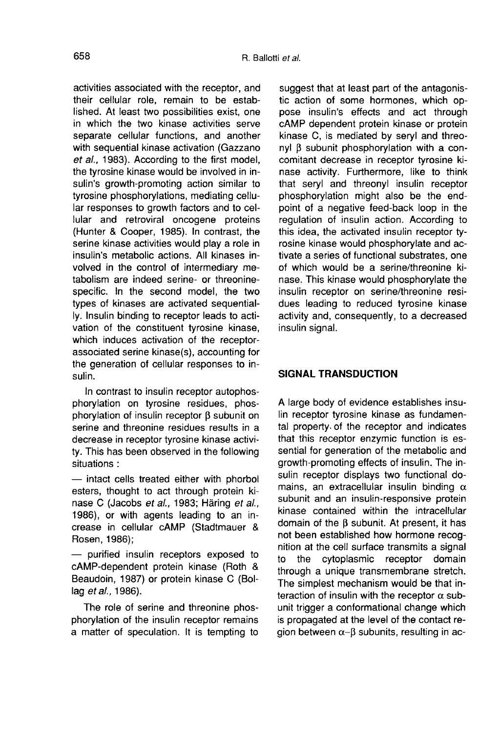activities associated with the receptor, and their cellular role, remain to be established. At least two possibilities exist, one in which the two kinase activities serve separate cellular functions, and another with sequential kinase activation (Gazzano et al., 1983). According to the first model. the tyrosine kinase would be involved in insulin's growth-promoting action similar to tyrosine phosphorylations, mediating cellular responses to growth factors and to cellular and retroviral oncogene proteins (Hunter & Cooper, 1985). In contrast, the serine kinase activities would play a role in insulin's metabolic actions. All kinases involved in the control of intermediary metabolism are indeed serine- or threoninespecific. In the second model, the two types of kinases are activated sequentially. Insulin binding to receptor leads to activation of the constituent tyrosine kinase, which induces activation of the receptorassociated serine kinase(s), accounting for the generation of cellular responses to insulin.

In contrast to insulin receptor autophosphorylation on tyrosine residues, phosphorylation of insulin receptor  $\beta$  subunit on serine and threonine residues results in a decrease in receptor tyrosine kinase activity. This has been observed in the following situations :

- intact cells treated either with phorbol esters, thought to act through protein kinase C (Jacobs et al., 1983; Häring et al., 1986), or with agents leading to an increase in cellular cAMP (Stadtmauer &

- purified insulin receptors exposed to cAMP-dependent protein kinase (Roth & Beaudoin, 1987) or protein kinase C (Bollag et al., 1986).

The role of serine and threonine phosphorylation of the insulin receptor remains a matter of speculation. It is tempting to

suggest that at least part of the antagonistic action of some hormones, which oppose insulin's effects and act through cAMP dependent protein kinase or protein kinase C, is mediated by seryl and threonyl B subunit phosphorylation with a concomitant decrease in receptor tyrosine kinase activity. Furthermore, like to think that seryl and threonyl insulin receptor phosphorylation might also be the endpoint of a negative feed-back loop in the regulation of insulin action. According to this idea, the activated insulin receptor tyrosine kinase would phosphorylate and activate a series of functional substrates, one of which would be a serine/threonine kinase. This kinase would phosphorylate the insulin receptor on serine/threonine residues leading to reduced tyrosine kinase activity and, consequently, to a decreased insulin signal.

#### SIGNAL TRANSDUCTION

A large body of evidence establishes insulin receptor tyrosine kinase as fundamental property. of the receptor and indicates that this receptor enzymic function is essential for generation of the metabolic and growth-promoting effects of insulin. The insulin receptor displays two functional domains, an extracellular insulin binding  $\alpha$ subunit and an insulin-responsive protein kinase contained within the intracellular domain of the  $\beta$  subunit. At present, it has not been established how hormone recognition at the cell surface transmits a signal to the cytoplasmic receptor domain through a unique transmembrane stretch. The simplest mechanism would be that interaction of insulin with the receptor  $\alpha$  subunit trigger a conformational change which is propagated at the level of the contact region between  $\alpha-\beta$  subunits, resulting in ac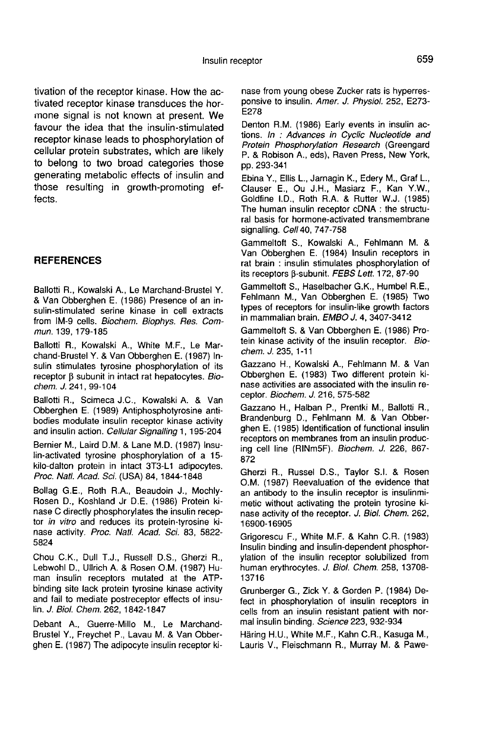tivation of the receptor kinase. How the activated receptor kinase transduces the hormone signal is not known at present. We favour the idea that the insulin-stimulated receptor kinase leads to phosphorylation of cellular protein substrates, which are likely to belong to two broad categories those generating metabolic effects of insulin and those resulting in growth-promoting effects.

#### **REFERENCES**

Ballotti R., Kowalski A., Le Marchand-Brustel Y. & Van Obberghen E. (1986) Presence of an insulin-stimulated serine kinase in cell extracts from IM-9 cells. Biochem. Biophys. Res. Commun. 139, 179-185

Ballotti R., Kowalski A., White M.F., Le Marchand-Brustel Y. & Van Obberghen E. (1987) Insulin stimulates tyrosine phosphorylation of its receptor  $\beta$  subunit in intact rat hepatocytes. Biochem. J. 241, 99-104

Ballotti R., Scimeca J.C., Kowalski A. & Van Obberghen E. (1989) Antiphosphotyrosine antibodies modulate insulin receptor kinase activity and insulin action. Cellular Signalling 1, 195-204

Bernier M., Laird D.M. & Lane M.D. (1987) Insulin-activated tyrosine phosphorylation of a 15 kilo-dalton protein in intact 3T3-Li adipocytes. Proc. Natl. Acad. Sci. (USA) 84, 1844-1848

Bollag G.E., Roth R.A., Beaudoin J., Mochly- Rosen D., Koshland Jr D.E. (1986) Protein kinase C directly phosphorylates the insulin recep tor in vitro and reduces its protein-tyrosine kinase activity. Proc. Natl. Acad. Sci. 83, 5822- 5824

Chou C.K., Dull T.J., Russell D.S., Gherzi R., Lebwohl D., Ullrich A. & Rosen O.M. (1987) Human insulin receptors mutated at the ATPbinding site lack protein tyrosine kinase activity and fail to mediate postreceptor effects of insulin. J. Biol. Chem. 262, 1842-1847

Debant A., Guerre-Millo M., Le Marchand-Brustel Y., Freychet P., Lavau M. & Van Obberghen E. (1987) The adipocyte insulin receptor kinase from young obese Zucker rats is hyperresponsive to insulin. Amer. J. Physiol. 252, E273- E278

Denton R.M. (1986) Early events in insulin actions. In : Advances in Cyclic Nucleotide and<br>Protein Phosphorvlation Research (Greengard P. & Robison A., eds), Raven Press, New York, pp. 293-341

Ebina Y., Ellis L., Jarnagin K., Edery M., Graf L., Clauser E., Ou J.H., Masiarz F., Kan Y.W., Goldfine I.D., Roth R.A. & Rutter W.J. (1985) Ebina Y., Ellis L., Jarnagin K., Edery M., Graf L.,<br>Clauser E., Ou J.H., Masiarz F., Kan Y.W.,<br>Goldfine I.D., Roth R.A. & Rutter W.J. (1985)<br>The human insulin receptor cDNA : the structu-<br>ral basis for hormone-activated tr ral basis for hormone-activated transmembrane signalling. Cell 40, 747-758

Gammeltoft S., Kowalski A., Fehlmann M. & Van Obberghen E. (1984) Insulin receptors in rat brain : insulin stimulates phosphorylation of its receptors B-subunit. FEBS Lett. 172, 87-90

Gammeltoft S., Haselbacher G.K., Humbel R.E., Fehlmann M., Van Obberghen E. (1985) Two types of receptors for insulin-like growth factors in mammalian brain. EM80 J. 4, 3407-3412

Gammeltoft S. & Van Obberghen E. (1986) Protein kinase activity of the insulin receptor. Biochem. J. 235, 1-11

Gazzano H., Kowalski A., Fehlmann M. & Van Obberghen E. (1983) Two different protein kinase activities are associated with the insulin receptor. Biochem. J. 216, 575-582

Gazzano H., Halban P., Prentki M., Ballotti R., Brandenburg D., Fehlmann M. & Van Obberghen E. (1985) Identification of functional insulin receptors on membranes from an insulin producing cell line (RiNm5F). Biochem. J. 226, 867- 872

Gherzi R., Russel D.S., Taylor S.I. & Rosen O.M. (1987) Reevaluation of the evidence that an antibody to the insulin receptor is insulinmimetic without activating the protein tyrosine kinase activity of the receptor. J. Biol. Chem. 262, 16900-16905

Grigorescu F., White M.F. & Kahn C.R. (1983) Insulin binding and insulin-dependent phosphorylation of the insulin receptor solubilized from human erythrocytes. J. Biol. Chem. 258, 13708- 13716

Grunberger G., Zick Y. & Gorden P. (1984) Defect in phosphorylation of insulin receptors in cells from an insulin resistant patient with normal insulin binding. Science 223, 932-934

Haring H.U., White M.F., Kahn C.R., Kasuga M., Lauris V., Fleischmann R., Murray M. & Pawe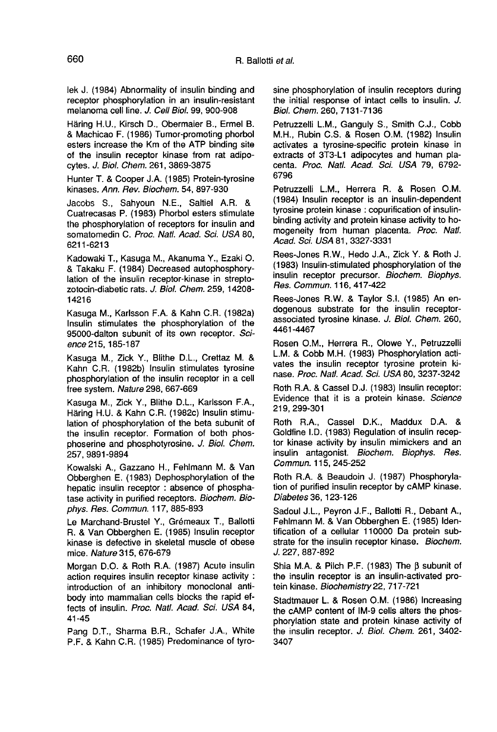lek J. (1984) Abnormality of insulin binding and receptor phosphorylation in an insulin-resistant melanoma cell line. J. Cell Biol. 99, 900-908

Häring H.U., Kirsch D., Obermaier B., Ermel B.<br>& Machicao F. (1986) Tumor-promoting phorbol esters increase the Km of the ATP binding site of the insulin receptor kinase from rat adipocytes. J. Biol. Chem. 261, 3869-3875

Hunter T. & Cooper J.A. (1985) Protein-tyrosine kinases. Ann. Rev. Biochem. 54, 897-930

Jacobs S., Sahyoun N.E., Saltiel A.R. & Cuatrecasas P. (1983) Phorbol esters stimulate the phosphorylation of receptors for insulin and somatomedin C. Proc. Natl. Acad. Sci. USA 80, 6211-6213

Kadowaki T., Kasuga M., Akanuma Y., Ezaki O. & Takaku F. (1984) Decreased autophosphorylation of the insulin receptor-kinase in streptozotocin-diabetic rats. J. BioL Chem. 259, 14208- 14216

Kasuga M., Karlsson F.A. & Kahn C.R. (1982a) Insulin stimulates the phosphorylation of the 95000-dalton subunit of its own receptor. Science 215, 185-187

Kasuga M., Zick Y., Blithe D.L., Crettaz M. & Kahn C.R. (1982b) Insulin stimulates tyrosine phosphorylation of the insulin receptor in a cell free system. Nature 298, 667-669

Kasuga M., Zick Y., Blithe D.L., Karlsson F.A., Haring H.U. & Kahn C.R. (1982c) Insulin stimulation of phosphorylation of the beta subunit of the insulin receptor. Formation of both phosphoserine and phosphotyrosine. J. Biol. Chem. 257,9891-9894

Kowalski A., Gazzano H., Fehlmann M. & Van Obberghen E. (1983) Dephosphorylation of the hepatic insulin receptor : absence of phospha tase activity in purified receptors. Biochem. Biophys. Res. Commun. 117, 885-893

Le Marchand-Brustel Y., Grémeaux T., Ballotti R. & Van Obberghen E. (1985) Insulin receptor kinase is defective in skeletal muscle of obese mice. Nature 315, 676-679

Morgan D.O. & Roth R.A. (1987) Acute insulin action requires insulin receptor kinase activity : introduction of an inhibitory monoclonal antibody into mammalian cells blocks the rapid effects of insulin. Proc. Natl. Acad. Sci. USA 84, 41-45

Pang D.T., Sharma B.R., Schafer J.A., White P.F. & Kahn C.R. (1985) Predominance of tyrosine phosphorylation of insulin receptors during the initial response of intact cells to insulin. J. Biol. Chem. 260, 7131-7136

Petruzzelli L.M., Ganguly S., Smith C.J., Cobb M.H., Rubin C.S. & Rosen O.M. (1982) Insulin activates a tyrosine-specific protein kinase in centa. Proc. Natl. Acad. Sci. USA 79, 6792-6796

Petruzzelli L.M., Herrera R. & Rosen O.M. (1984) Insulin receptor is an insulin-dependent tyrosine protein kinase : copurification of insulinbinding activity and protein kinase activity to homogeneity from human placenta. Proc. Natl. Acad. Sci. USA 81, 3327-3331

Rees-Jones R.W., Hedo J.A., Zick Y. & Roth J. (1983) Insulin-stimulated phosphorylation of the insulin receptor precursor. Biochem. Biophys. Res. Commun. 116, 417-422

Rees-Jones R.W. & Taylor S.I. (1985) An endogenous substrate for the insulin receptorassociated tyrosine kinase. J. Biol. Chem. 260, 4461-4467

Rosen O.M., Herrera R., Olowe Y., Petruzzelli L.M. & Cobb M.H. (1983) Phosphorylation activates the insulin receptor tyrosine protein kinase. Proc. Natl. Acad. Sci. USA 80, 3237-3242

Roth R.A. & Cassel D.J. (1983) Insulin receptor: Evidence that it is a protein kinase. Science 219,299-301

Roth R.A., Cassel D.K., Maddux D.A. & Goldfine I.D. (1983) Regulation of insulin receptor kinase activity by insulin mimickers and an insulin antagonist. Biochem. Biophys. Res. Commun. 115, 245-252

Roth R.A. & Beaudoin J. (1987) Phosphorylation of purified insulin receptor by cAMP kinase. Diabetes 36, 123-126

Sadoul J.L., Peyron J.F., Ballotti R., Debant A., Fehlmann M. & Van Obberghen E. (1985) Identification of a cellular 110000 Da protein substrate for the insulin receptor kinase. Biochem. J. 227, 887-892

Shia M.A. & Pilch P.F. (1983) The  $\beta$  subunit of the insulin receptor is an insulin-activated protein kinase. Biochemistry 22, 717-721

Stadtmauer L. & Rosen O.M. (1986) Increasing the cAMP content of IM-9 cells alters the phosphorylation state and protein kinase activity of the insulin receptor. J. Biol. Chem. 261, 3402- 3407